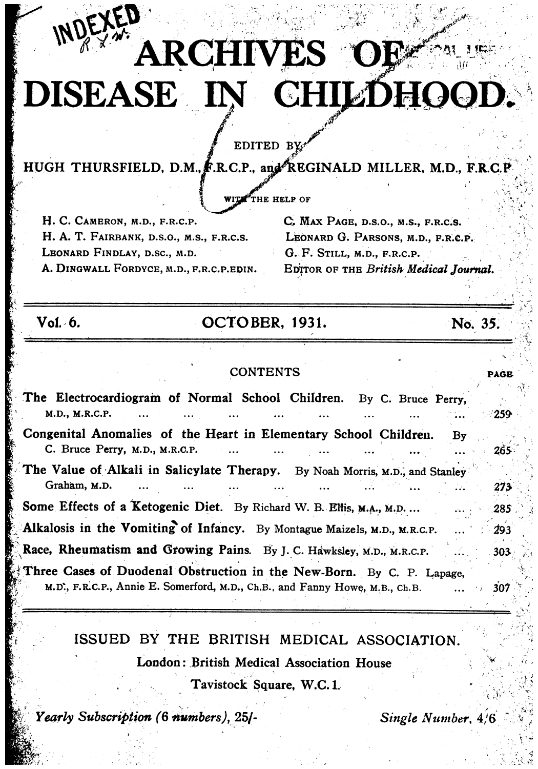# **ARCHIVES OF:** DISEASE IN CHILDHOOD.

EDITED BY

HUGH THURSFIELD, D.M., F.R.C.P., and REGINALD MILLER, M.D., F.R.C.P

WITH THE HELP OF

H. C. CAMERON, M.D., F.R.C.P. H. A. T. FAIRBANK, D.S.O., M.S., F.R.C.S. LEONARD FINDLAY, D.SC., M.D. A. DINGWALL FORDYCE, M.D., F.R.C.P.EDIN. C. MAX PAGE, D.S.O., M.S., F.R.C.S. LEONARD G. PARSONS, M.D., F.R.C.P. G. F. STILL, M.D., F.R.C.P. EDITOR OF THE British Medical Journal.

 $Vol. 6.$ 

## OCTOBER, 1931.

No. 35.

**PAGE** 

## **CONTENTS**

The Electrocardiogram of Normal School Children. By C. Bruce Perry, M.D., M.R.C.P. 259 Congenital Anomalies of the Heart in Elementary School Children.  $Bv$ C. Bruce Perry, M.D., M.R.C.P. 265 The Value of Alkali in Salicylate Therapy. By Noah Morris, M.D., and Stanley Graham, M.D. 273 Some Effects of a Ketogenic Diet. By Richard W. B. Ellis, M.A., M.D. ... 285 Alkalosis in the Vomiting of Infancy. By Montague Maizels, M.D., M.R.C.P. 293 Race, Rheumatism and Growing Pains. By J. C. Hawksley, M.D., M.R.C.P. 303 Three Cases of Duodenal Obstruction in the New-Born. By C. P. Lapage, M.D., F.R.C.P., Annie E. Somerford, M.D., Ch.B., and Fanny Howe, M.B., Ch.B. 307

## ISSUED BY THE BRITISH MEDICAL ASSOCIATION.

**London: British Medical Association House** 

Tavistock Square, W.C. 1.

Yearly Subscription (6 numbers), 25/-

Single Number, 4/6